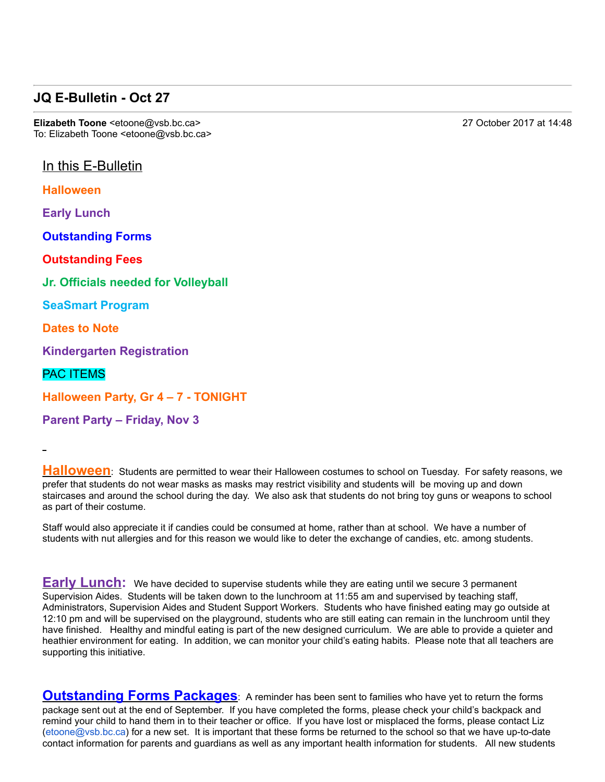## **JQ E-Bulletin - Oct 27**

**Elizabeth Toone** <etoone@vsb.bc.ca> 27 October 2017 at 14:48 To: Elizabeth Toone <etoone@vsb.bc.ca>

In this E-Bulletin

**Halloween**

**Early Lunch**

**Outstanding Forms**

**Outstanding Fees**

**Jr. Officials needed for Volleyball**

**SeaSmart Program**

**Dates to Note**

**Kindergarten Registration**

PAC ITEMS

**Halloween Party, Gr 4 - 7 - TONIGHT** 

**Parent Party – Friday, Nov 3**

**Halloween**: Students are permitted to wear their Halloween costumes to school on Tuesday. For safety reasons, we prefer that students do not wear masks as masks may restrict visibility and students will be moving up and down staircases and around the school during the day. We also ask that students do not bring toy guns or weapons to school as part of their costume.

Staff would also appreciate it if candies could be consumed at home, rather than at school. We have a number of students with nut allergies and for this reason we would like to deter the exchange of candies, etc. among students.

**Early Lunch:** We have decided to supervise students while they are eating until we secure 3 permanent Supervision Aides. Students will be taken down to the lunchroom at 11:55 am and supervised by teaching staff, Administrators, Supervision Aides and Student Support Workers. Students who have finished eating may go outside at 12:10 pm and will be supervised on the playground, students who are still eating can remain in the lunchroom until they have finished. Healthy and mindful eating is part of the new designed curriculum. We are able to provide a quieter and heathier environment for eating. In addition, we can monitor your child's eating habits. Please note that all teachers are supporting this initiative.

**Outstanding Forms Packages**: A reminder has been sent to families who have yet to return the forms package sent out at the end of September. If you have completed the forms, please check your child's backpack and remind your child to hand them in to their teacher or office. If you have lost or misplaced the forms, please contact Liz  $(etoone@vsb(bc.ca)$  for a new set. It is important that these forms be returned to the school so that we have up-to-date contact information for parents and guardians as well as any important health information for students. All new students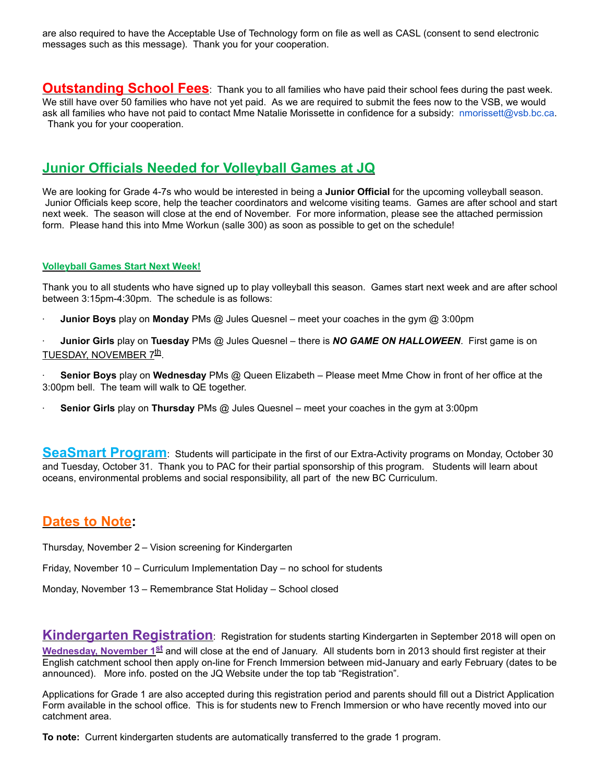are also required to have the Acceptable Use of Technology form on file as well as CASL (consent to send electronic messages such as this message). Thank you for your cooperation.

**Outstanding School Fees**: Thank you to all families who have paid their school fees during the past week. We still have over 50 families who have not yet paid. As we are required to submit the fees now to the VSB, we would ask all families who have not paid to contact Mme Natalie Morissette in confidence for a subsidy: nmorissett@vsb.bc.ca. Thank you for your cooperation.

## **Junior Officials Needed for Volleyball Games at JQ**

We are looking for Grade 4-7s who would be interested in being a **Junior Official** for the upcoming volleyball season. Junior Officials keep score, help the teacher coordinators and welcome visiting teams. Games are after school and start next week. The season will close at the end of November. For more information, please see the attached permission form. Please hand this into Mme Workun (salle 300) as soon as possible to get on the schedule!

#### **Volleyball Games Start Next Week!**

Thank you to all students who have signed up to play volleyball this season. Games start next week and are after school between 3:15pm-4:30pm. The schedule is as follows:

· **Junior Boys** play on **Monday** PMs @ Jules Quesnel – meet your coaches in the gym @ 3:00pm

· **Junior Girls** play on **Tuesday** PMs @ Jules Quesnel – there is *NO GAME ON HALLOWEEN*. First game is on TUESDAY, NOVEMBER 7<sup>th</sup>.

· **Senior Boys** play on **Wednesday** PMs @ Queen Elizabeth – Please meet Mme Chow in front of her office at the 3:00pm bell. The team will walk to QE together.

· **Senior Girls** play on **Thursday** PMs @ Jules Quesnel – meet your coaches in the gym at 3:00pm

**SeaSmart Program**: Students will participate in the first of our Extra-Activity programs on Monday, October 30 and Tuesday, October 31. Thank you to PAC for their partial sponsorship of this program. Students will learn about oceans, environmental problems and social responsibility, all part of the new BC Curriculum.

### **Dates to Note:**

Thursday, November 2 – Vision screening for Kindergarten

Friday, November 10 – Curriculum Implementation Day – no school for students

Monday, November 13 – Remembrance Stat Holiday – School closed

**Kindergarten Registration**: Registration for students starting Kindergarten in September 2018 will open on **Wednesday, November 1st** and will close at the end of January. All students born in 2013 should first register at their English catchment school then apply on-line for French Immersion between mid-January and early February (dates to be announced). More info. posted on the JQ Website under the top tab "Registration".

Applications for Grade 1 are also accepted during this registration period and parents should fill out a District Application Form available in the school office. This is for students new to French Immersion or who have recently moved into our catchment area.

**To note:** Current kindergarten students are automatically transferred to the grade 1 program.